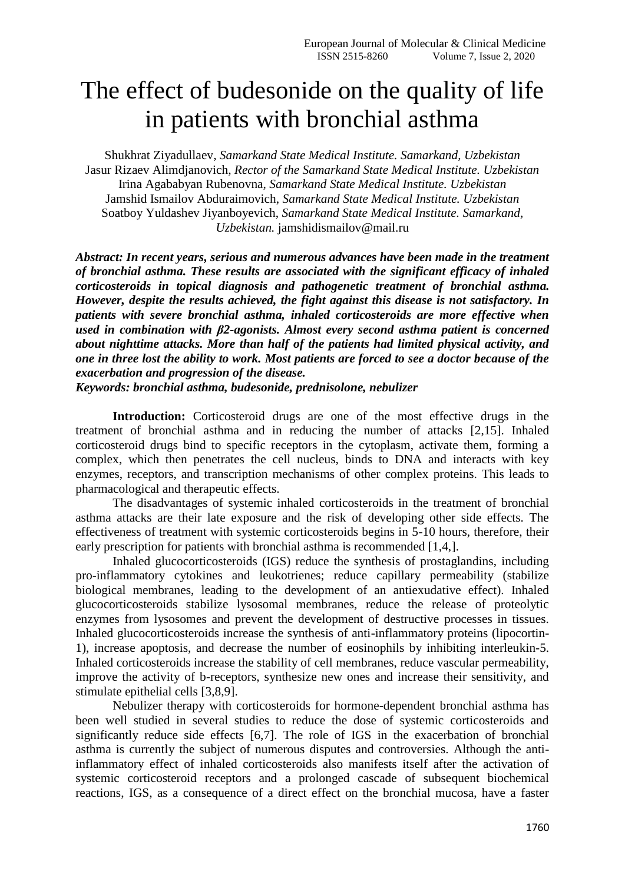# The effect of budesonide on the quality of life in patients with bronchial asthma

Shukhrat Ziyadullaev, *Samarkand State Medical Institute. Samarkand, Uzbekistan* Jasur Rizaev Alimdjanovich, *Rector of the Samarkand State Medical Institute. Uzbekistan* Irina Agababyan Rubenovna, *Samarkand State Medical Institute. Uzbekistan* Jamshid Ismailov Abduraimovich, *Samarkand State Medical Institute. Uzbekistan* Soatboy Yuldashev Jiyanboyevich, *Samarkand State Medical Institute. Samarkand, Uzbekistan.* jamshidismailov@mail.ru

*Abstract: In recent years, serious and numerous advances have been made in the treatment of bronchial asthma. These results are associated with the significant efficacy of inhaled corticosteroids in topical diagnosis and pathogenetic treatment of bronchial asthma. However, despite the results achieved, the fight against this disease is not satisfactory. In patients with severe bronchial asthma, inhaled corticosteroids are more effective when used in combination with β2-agonists. Almost every second asthma patient is concerned about nighttime attacks. More than half of the patients had limited physical activity, and one in three lost the ability to work. Most patients are forced to see a doctor because of the exacerbation and progression of the disease.*

*Keywords: bronchial asthma, budesonide, prednisolone, nebulizer*

**Introduction:** Corticosteroid drugs are one of the most effective drugs in the treatment of bronchial asthma and in reducing the number of attacks [2,15]. Inhaled corticosteroid drugs bind to specific receptors in the cytoplasm, activate them, forming a complex, which then penetrates the cell nucleus, binds to DNA and interacts with key enzymes, receptors, and transcription mechanisms of other complex proteins. This leads to pharmacological and therapeutic effects.

The disadvantages of systemic inhaled corticosteroids in the treatment of bronchial asthma attacks are their late exposure and the risk of developing other side effects. The effectiveness of treatment with systemic corticosteroids begins in 5-10 hours, therefore, their early prescription for patients with bronchial asthma is recommended [1,4,].

Inhaled glucocorticosteroids (IGS) reduce the synthesis of prostaglandins, including pro-inflammatory cytokines and leukotrienes; reduce capillary permeability (stabilize biological membranes, leading to the development of an antiexudative effect). Inhaled glucocorticosteroids stabilize lysosomal membranes, reduce the release of proteolytic enzymes from lysosomes and prevent the development of destructive processes in tissues. Inhaled glucocorticosteroids increase the synthesis of anti-inflammatory proteins (lipocortin-1), increase apoptosis, and decrease the number of eosinophils by inhibiting interleukin-5. Inhaled corticosteroids increase the stability of cell membranes, reduce vascular permeability, improve the activity of b-receptors, synthesize new ones and increase their sensitivity, and stimulate epithelial cells [3,8,9].

Nebulizer therapy with corticosteroids for hormone-dependent bronchial asthma has been well studied in several studies to reduce the dose of systemic corticosteroids and significantly reduce side effects [6,7]. The role of IGS in the exacerbation of bronchial asthma is currently the subject of numerous disputes and controversies. Although the antiinflammatory effect of inhaled corticosteroids also manifests itself after the activation of systemic corticosteroid receptors and a prolonged cascade of subsequent biochemical reactions, IGS, as a consequence of a direct effect on the bronchial mucosa, have a faster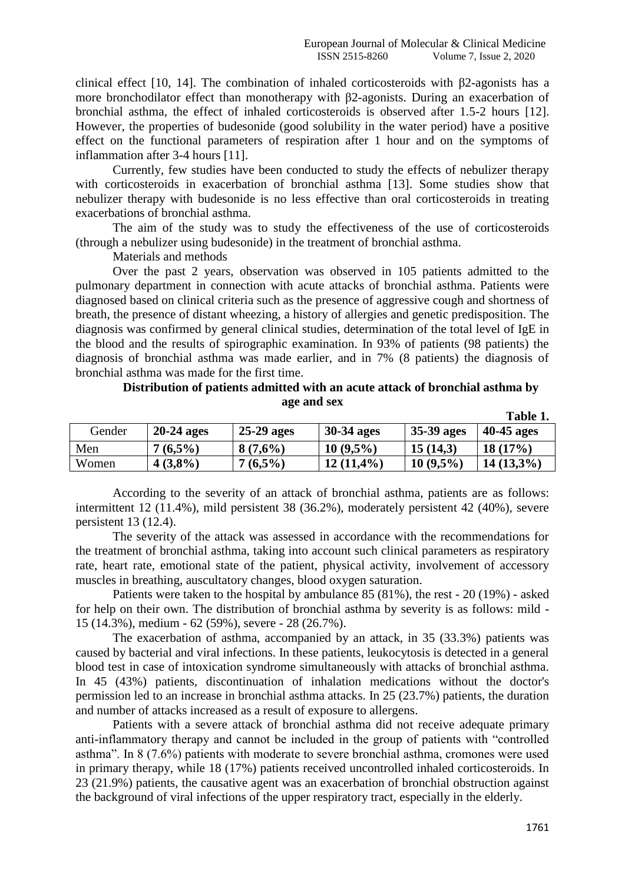clinical effect [10, 14]. The combination of inhaled corticosteroids with β2-agonists has a more bronchodilator effect than monotherapy with β2-agonists. During an exacerbation of bronchial asthma, the effect of inhaled corticosteroids is observed after 1.5-2 hours [12]. However, the properties of budesonide (good solubility in the water period) have a positive effect on the functional parameters of respiration after 1 hour and on the symptoms of inflammation after 3-4 hours [11].

Currently, few studies have been conducted to study the effects of nebulizer therapy with corticosteroids in exacerbation of bronchial asthma [13]. Some studies show that nebulizer therapy with budesonide is no less effective than oral corticosteroids in treating exacerbations of bronchial asthma.

The aim of the study was to study the effectiveness of the use of corticosteroids (through a nebulizer using budesonide) in the treatment of bronchial asthma.

Materials and methods

Over the past 2 years, observation was observed in 105 patients admitted to the pulmonary department in connection with acute attacks of bronchial asthma. Patients were diagnosed based on clinical criteria such as the presence of aggressive cough and shortness of breath, the presence of distant wheezing, a history of allergies and genetic predisposition. The diagnosis was confirmed by general clinical studies, determination of the total level of IgE in the blood and the results of spirographic examination. In 93% of patients (98 patients) the diagnosis of bronchial asthma was made earlier, and in 7% (8 patients) the diagnosis of bronchial asthma was made for the first time.

#### **Distribution of patients admitted with an acute attack of bronchial asthma by age and sex Тable 1.**

|        |              |              |                   |                    | Table 1.     |
|--------|--------------|--------------|-------------------|--------------------|--------------|
| Gender | $20-24$ ages | $25-29$ ages | <b>30-34 ages</b> | $\vert$ 35-39 ages | $40-45$ ages |
| Men    | $7(6,5\%)$   | 8(7,6%)      | $10(9.5\%)$       | 15(14,3)           | 18(17%)      |
| Women  | $4(3,8\%)$   | $7(6,5\%)$   | $12(11,4\%)$      | $10(9.5\%)$        | $14(13,3\%)$ |

According to the severity of an attack of bronchial asthma, patients are as follows: intermittent 12 (11.4%), mild persistent 38 (36.2%), moderately persistent 42 (40%), severe persistent 13 (12.4).

The severity of the attack was assessed in accordance with the recommendations for the treatment of bronchial asthma, taking into account such clinical parameters as respiratory rate, heart rate, emotional state of the patient, physical activity, involvement of accessory muscles in breathing, auscultatory changes, blood oxygen saturation.

Patients were taken to the hospital by ambulance 85 (81%), the rest - 20 (19%) - asked for help on their own. The distribution of bronchial asthma by severity is as follows: mild - 15 (14.3%), medium - 62 (59%), severe - 28 (26.7%).

The exacerbation of asthma, accompanied by an attack, in 35 (33.3%) patients was caused by bacterial and viral infections. In these patients, leukocytosis is detected in a general blood test in case of intoxication syndrome simultaneously with attacks of bronchial asthma. In 45 (43%) patients, discontinuation of inhalation medications without the doctor's permission led to an increase in bronchial asthma attacks. In 25 (23.7%) patients, the duration and number of attacks increased as a result of exposure to allergens.

Patients with a severe attack of bronchial asthma did not receive adequate primary anti-inflammatory therapy and cannot be included in the group of patients with "controlled asthma". In 8 (7.6%) patients with moderate to severe bronchial asthma, cromones were used in primary therapy, while 18 (17%) patients received uncontrolled inhaled corticosteroids. In 23 (21.9%) patients, the causative agent was an exacerbation of bronchial obstruction against the background of viral infections of the upper respiratory tract, especially in the elderly.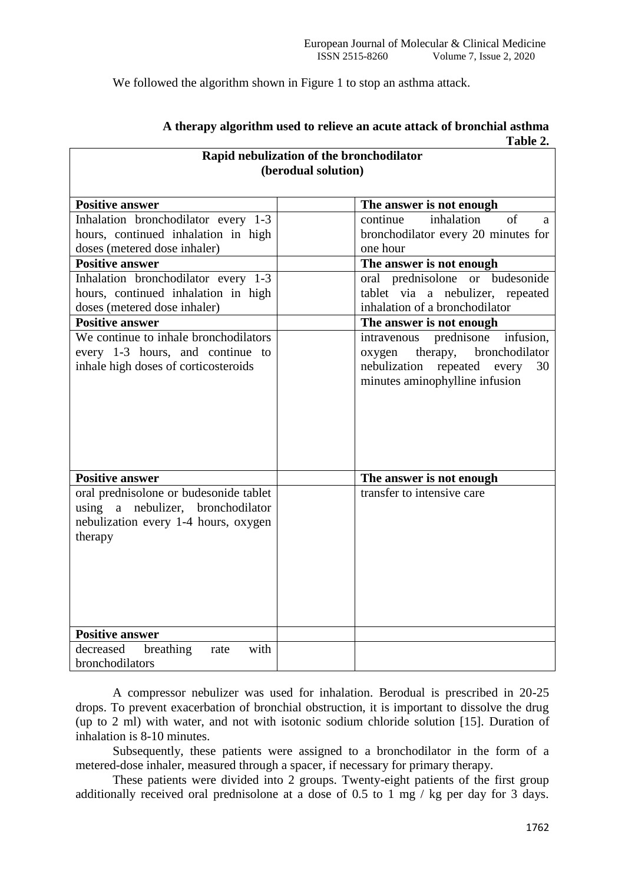We followed the algorithm shown in Figure 1 to stop an asthma attack.

| Rapid nebulization of the bronchodilator                                                                                       |                                                                                                                                                       |  |  |  |  |  |  |  |  |  |  |
|--------------------------------------------------------------------------------------------------------------------------------|-------------------------------------------------------------------------------------------------------------------------------------------------------|--|--|--|--|--|--|--|--|--|--|
| (berodual solution)                                                                                                            |                                                                                                                                                       |  |  |  |  |  |  |  |  |  |  |
|                                                                                                                                |                                                                                                                                                       |  |  |  |  |  |  |  |  |  |  |
| <b>Positive answer</b>                                                                                                         | The answer is not enough                                                                                                                              |  |  |  |  |  |  |  |  |  |  |
| Inhalation bronchodilator every 1-3                                                                                            | inhalation<br>$\sigma$ f<br>continue<br>a                                                                                                             |  |  |  |  |  |  |  |  |  |  |
| hours, continued inhalation in high                                                                                            | bronchodilator every 20 minutes for                                                                                                                   |  |  |  |  |  |  |  |  |  |  |
| doses (metered dose inhaler)                                                                                                   | one hour                                                                                                                                              |  |  |  |  |  |  |  |  |  |  |
| <b>Positive answer</b>                                                                                                         | The answer is not enough                                                                                                                              |  |  |  |  |  |  |  |  |  |  |
| Inhalation bronchodilator every 1-3                                                                                            | oral prednisolone or budesonide                                                                                                                       |  |  |  |  |  |  |  |  |  |  |
| hours, continued inhalation in high                                                                                            | tablet via a nebulizer, repeated                                                                                                                      |  |  |  |  |  |  |  |  |  |  |
| doses (metered dose inhaler)                                                                                                   | inhalation of a bronchodilator                                                                                                                        |  |  |  |  |  |  |  |  |  |  |
| <b>Positive answer</b>                                                                                                         | The answer is not enough                                                                                                                              |  |  |  |  |  |  |  |  |  |  |
| We continue to inhale bronchodilators<br>every 1-3 hours, and continue to<br>inhale high doses of corticosteroids              | prednisone<br>infusion,<br>intravenous<br>bronchodilator<br>therapy,<br>oxygen<br>nebulization repeated every<br>30<br>minutes aminophylline infusion |  |  |  |  |  |  |  |  |  |  |
| <b>Positive answer</b>                                                                                                         | The answer is not enough                                                                                                                              |  |  |  |  |  |  |  |  |  |  |
| oral prednisolone or budesonide tablet<br>using a nebulizer, bronchodilator<br>nebulization every 1-4 hours, oxygen<br>therapy | transfer to intensive care                                                                                                                            |  |  |  |  |  |  |  |  |  |  |
| <b>Positive answer</b>                                                                                                         |                                                                                                                                                       |  |  |  |  |  |  |  |  |  |  |
| decreased breathing<br>with<br>rate<br>bronchodilators                                                                         |                                                                                                                                                       |  |  |  |  |  |  |  |  |  |  |

### **A therapy algorithm used to relieve an acute attack of bronchial asthma Тable 2.**

A compressor nebulizer was used for inhalation. Berodual is prescribed in 20-25 drops. To prevent exacerbation of bronchial obstruction, it is important to dissolve the drug (up to 2 ml) with water, and not with isotonic sodium chloride solution [15]. Duration of inhalation is 8-10 minutes.

Subsequently, these patients were assigned to a bronchodilator in the form of a metered-dose inhaler, measured through a spacer, if necessary for primary therapy.

These patients were divided into 2 groups. Twenty-eight patients of the first group additionally received oral prednisolone at a dose of 0.5 to 1 mg / kg per day for 3 days.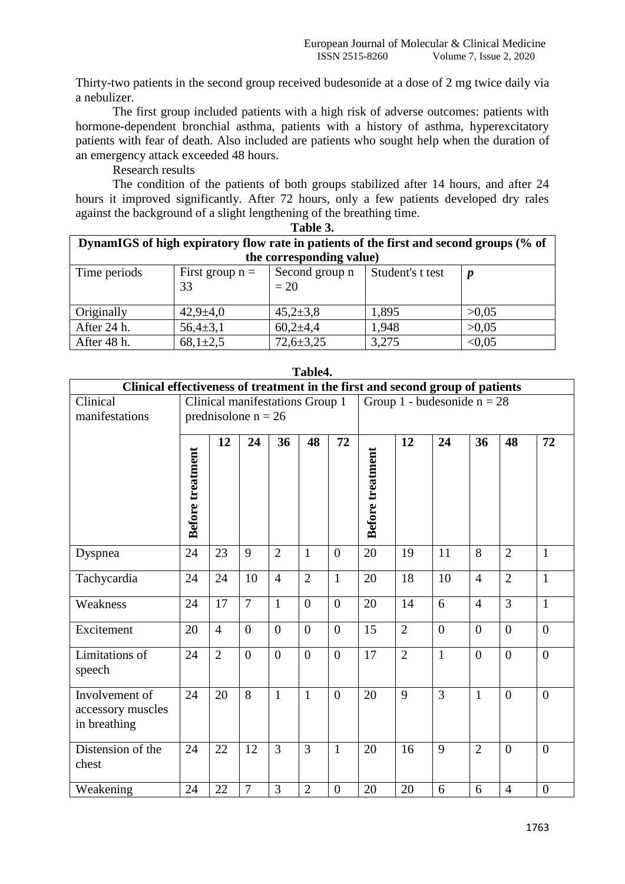Thirty-two patients in the second group received budesonide at a dose of 2 mg twice daily via a nebulizer.

The first group included patients with a high risk of adverse outcomes: patients with hormone-dependent bronchial asthma, patients with a history of asthma, hyperexcitatory patients with fear of death. Also included are patients who sought help when the duration of an emergency attack exceeded 48 hours.

Research results

The condition of the patients of both groups stabilized after 14 hours, and after 24 hours it improved significantly. After 72 hours, only a few patients developed dry rales against the background of a slight lengthening of the breathing time. **Table 3.**

| тате э.                                                                                |                   |                 |                  |        |  |  |  |  |  |  |  |
|----------------------------------------------------------------------------------------|-------------------|-----------------|------------------|--------|--|--|--|--|--|--|--|
| DynamIGS of high expiratory flow rate in patients of the first and second groups (% of |                   |                 |                  |        |  |  |  |  |  |  |  |
| the corresponding value)                                                               |                   |                 |                  |        |  |  |  |  |  |  |  |
| Time periods                                                                           | First group $n =$ | Second group n  | Student's t test |        |  |  |  |  |  |  |  |
|                                                                                        | 33                | $=20$           |                  |        |  |  |  |  |  |  |  |
|                                                                                        |                   |                 |                  |        |  |  |  |  |  |  |  |
| Originally                                                                             | $42,9 \pm 4,0$    | $45,2{\pm}3,8$  | 1,895            | >0.05  |  |  |  |  |  |  |  |
| After 24 h.                                                                            | $56,4{\pm}3,1$    | $60,2{\pm}4,4$  | 1,948            | >0.05  |  |  |  |  |  |  |  |
| After 48 h.                                                                            | $68,1{\pm}2,5$    | $72,6 \pm 3,25$ | 3,275            | < 0.05 |  |  |  |  |  |  |  |

| Clinical effectiveness of treatment in the first and second group of patients |                                 |                |                |                |                |                |                               |                |                |                |                |                |
|-------------------------------------------------------------------------------|---------------------------------|----------------|----------------|----------------|----------------|----------------|-------------------------------|----------------|----------------|----------------|----------------|----------------|
| Clinical                                                                      | Clinical manifestations Group 1 |                |                |                |                |                | Group 1 - budesonide $n = 28$ |                |                |                |                |                |
| manifestations                                                                | prednisolone $n = 26$           |                |                |                |                |                |                               |                |                |                |                |                |
|                                                                               | <b>Before treatment</b>         | 12             | 24             | 36             | 48             | 72             | <b>Before treatment</b>       | 12             | 24             | 36             | 48             | 72             |
| Dyspnea                                                                       | 24                              | 23             | 9              | $\overline{2}$ | 1              | $\overline{0}$ | 20                            | 19             | 11             | 8              | $\overline{2}$ | $\mathbf{1}$   |
| Tachycardia                                                                   | 24                              | 24             | 10             | $\overline{4}$ | $\overline{2}$ | $\mathbf{1}$   | 20                            | 18             | 10             | $\overline{4}$ | $\overline{2}$ | $\mathbf{1}$   |
| Weakness                                                                      | 24                              | 17             | $\overline{7}$ | $\mathbf{1}$   | $\overline{0}$ | $\overline{0}$ | 20                            | 14             | 6              | $\overline{4}$ | 3              | $\mathbf{1}$   |
| Excitement                                                                    | 20                              | $\overline{4}$ | $\overline{0}$ | $\theta$       | $\theta$       | $\theta$       | 15                            | $\overline{2}$ | $\theta$       | $\theta$       | $\theta$       | $\theta$       |
| Limitations of<br>speech                                                      | 24                              | $\overline{2}$ | $\overline{0}$ | $\theta$       | $\theta$       | $\overline{0}$ | 17                            | $\overline{2}$ | $\mathbf{1}$   | $\theta$       | $\theta$       | $\theta$       |
| Involvement of<br>accessory muscles<br>in breathing                           | 24                              | 20             | $\overline{8}$ | 1              | $\mathbf{1}$   | $\overline{0}$ | 20                            | 9              | $\overline{3}$ | $\mathbf{1}$   | $\Omega$       | $\overline{0}$ |
| Distension of the<br>chest                                                    | 24                              | 22             | 12             | 3              | 3              | $\mathbf{1}$   | 20                            | 16             | 9              | $\overline{2}$ | $\Omega$       | $\theta$       |
| Weakening                                                                     | 24                              | 22             | $\overline{7}$ | $\overline{3}$ | $\overline{2}$ | $\overline{0}$ | 20                            | 20             | 6              | 6              | $\overline{4}$ | $\overline{0}$ |

**Table4.**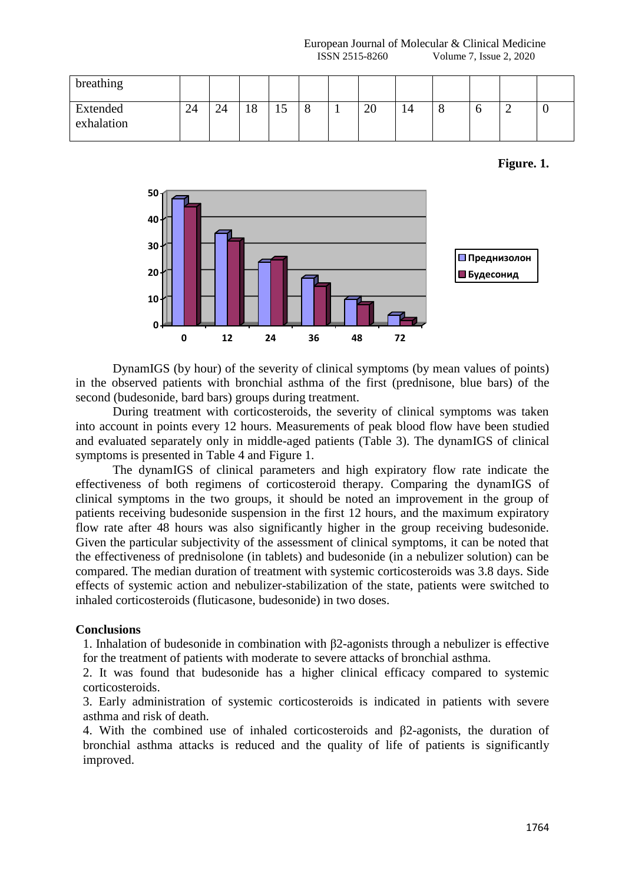European Journal of Molecular & Clinical Medicine **ISSN 2515-8260** Volume 7, Issue 2, 2020

| breathing              |    |    |           |         |  |    |    |         |   |  |
|------------------------|----|----|-----------|---------|--|----|----|---------|---|--|
| Extended<br>exhalation | 24 | 24 | l O<br>10 | -<br>⊥J |  | 20 | 14 | $\circ$ | - |  |

**Figure. 1.**



DynamIGS (by hour) of the severity of clinical symptoms (by mean values of points) in the observed patients with bronchial asthma of the first (prednisone, blue bars) of the second (budesonide, bard bars) groups during treatment.

During treatment with corticosteroids, the severity of clinical symptoms was taken into account in points every 12 hours. Measurements of peak blood flow have been studied and evaluated separately only in middle-aged patients (Table 3). The dynamIGS of clinical symptoms is presented in Table 4 and Figure 1.

The dynamIGS of clinical parameters and high expiratory flow rate indicate the effectiveness of both regimens of corticosteroid therapy. Comparing the dynamIGS of clinical symptoms in the two groups, it should be noted an improvement in the group of patients receiving budesonide suspension in the first 12 hours, and the maximum expiratory flow rate after 48 hours was also significantly higher in the group receiving budesonide. Given the particular subjectivity of the assessment of clinical symptoms, it can be noted that the effectiveness of prednisolone (in tablets) and budesonide (in a nebulizer solution) can be compared. The median duration of treatment with systemic corticosteroids was 3.8 days. Side effects of systemic action and nebulizer-stabilization of the state, patients were switched to inhaled corticosteroids (fluticasone, budesonide) in two doses.

#### **Conclusions**

1. Inhalation of budesonide in combination with β2-agonists through a nebulizer is effective for the treatment of patients with moderate to severe attacks of bronchial asthma.

2. It was found that budesonide has a higher clinical efficacy compared to systemic corticosteroids.

3. Early administration of systemic corticosteroids is indicated in patients with severe asthma and risk of death.

4. With the combined use of inhaled corticosteroids and β2-agonists, the duration of bronchial asthma attacks is reduced and the quality of life of patients is significantly improved.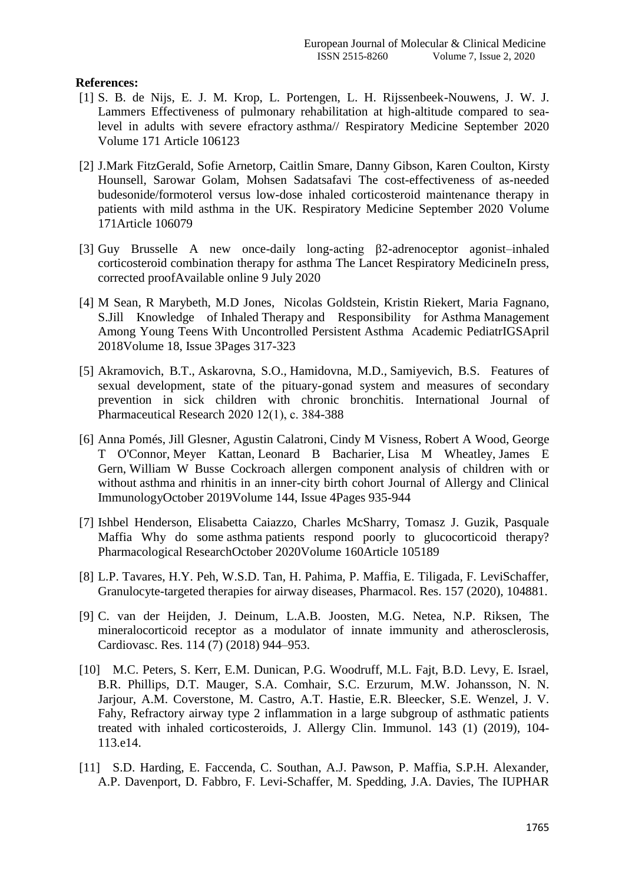## **References:**

- [1] S. B. de Nijs, E. J. M. Krop, L. Portengen, L. H. Rijssenbeek-Nouwens, J. W. J. Lammers [Effectiveness of pulmonary rehabilitation at high-altitude compared to sea](https://www.sciencedirect.com/science/article/pii/S0954611120302638)[level in adults with severe efractory](https://www.sciencedirect.com/science/article/pii/S0954611120302638) asthma// [Respiratory Medicine](https://www.sciencedirect.com/science/journal/09546111) September 2020 Volume 171 Article 106123
- [2] [J.Mark FitzGerald, Sofie Arnetorp, Caitlin Smare, Danny Gibson, Karen Coulton, Kirsty](https://www.sciencedirect.com/science/article/abs/pii/S0954611120302195#!)  [Hounsell,](https://www.sciencedirect.com/science/article/abs/pii/S0954611120302195#!) [Sarowar Golam, Mohsen Sadatsafavi](https://www.sciencedirect.com/science/article/abs/pii/S0954611120302195#!) The cost-effectiveness of as-needed budesonide/formoterol versus low-dose inhaled corticosteroid maintenance therapy in patients with mild asthma in the UK. [Respiratory Medicine](https://www.sciencedirect.com/science/journal/09546111) September 2020 Volume 171Article 106079
- [3] [Guy Brusselle](https://www.sciencedirect.com/science/article/abs/pii/S2213260020303052#!) A new once-daily long-acting β2-adrenoceptor agonist–inhaled corticosteroid combination therapy for asthma [The Lancet Respiratory MedicineI](https://www.sciencedirect.com/science/journal/22132600)n press, corrected proofAvailable online 9 July 2020
- [4] M [Sean, R Marybeth, M.D Jones, Nicolas Goldstein, Kristin Riekert, Maria Fagnano,](https://www.sciencedirect.com/science/article/abs/pii/S1876285918300111#!) S[.Jill K](https://www.sciencedirect.com/science/article/abs/pii/S1876285918300111#!)nowledge of Inhaled Therapy [and Responsibility for](https://www.sciencedirect.com/science/article/abs/pii/S1876285918300111#!) Asthma Management [Among Young Teens With Uncontrolled Persistent](https://www.sciencedirect.com/science/article/pii/S1876285918300111) Asthma [Academic PediatrIGSA](https://www.sciencedirect.com/science/journal/18762859)pril 2018Volume 18, Issue 3Pages 317-323
- [5] [Akramovich, B.T.,](https://www.scopus.com/authid/detail.uri?origin=resultslist&authorId=57214236251&zone=) [Askarovna, S.O.,](https://www.scopus.com/authid/detail.uri?origin=resultslist&authorId=57214218229&zone=) [Hamidovna, M.D.,](https://www.scopus.com/authid/detail.uri?origin=resultslist&authorId=57214234233&zone=) [Samiyevich, B.S.](https://www.scopus.com/authid/detail.uri?origin=resultslist&authorId=57214235751&zone=) [Features of](https://www.scopus.com/record/display.uri?eid=2-s2.0-85078427443&origin=resultslist&sort=plf-f&src=s&nlo=&nlr=&nls=&sid=c1f62c57476f328531a90cad4b4b4d7a&sot=aff&sdt=a&sl=51&s=AF-ID%28%22Samarkand+State+Medical+Institute%22+60113279%29&relpos=29&citeCnt=0&searchTerm=)  [sexual development, state of the pituary-gonad system and measures of secondary](https://www.scopus.com/record/display.uri?eid=2-s2.0-85078427443&origin=resultslist&sort=plf-f&src=s&nlo=&nlr=&nls=&sid=c1f62c57476f328531a90cad4b4b4d7a&sot=aff&sdt=a&sl=51&s=AF-ID%28%22Samarkand+State+Medical+Institute%22+60113279%29&relpos=29&citeCnt=0&searchTerm=)  [prevention in sick children with chronic bronchitis.](https://www.scopus.com/record/display.uri?eid=2-s2.0-85078427443&origin=resultslist&sort=plf-f&src=s&nlo=&nlr=&nls=&sid=c1f62c57476f328531a90cad4b4b4d7a&sot=aff&sdt=a&sl=51&s=AF-ID%28%22Samarkand+State+Medical+Institute%22+60113279%29&relpos=29&citeCnt=0&searchTerm=) [International Journal of](https://www.scopus.com/sourceid/19700174645?origin=resultslist)  [Pharmaceutical Research](https://www.scopus.com/sourceid/19700174645?origin=resultslist) 2020 12(1), с. 384-388
- [6] [Anna Pomés,](https://www.pubfacts.com/author/Anna+Pom%C3%A9s) [Jill Glesner,](https://www.pubfacts.com/author/Jill+Glesner) [Agustin Calatroni,](https://www.pubfacts.com/author/Agustin+Calatroni) [Cindy M Visness,](https://www.pubfacts.com/author/Cindy+M+Visness) [Robert A Wood,](https://www.pubfacts.com/author/Robert+A+Wood) [George](https://www.pubfacts.com/author/George+T+O)  [T O'Connor,](https://www.pubfacts.com/author/George+T+O) [Meyer Kattan,](https://www.pubfacts.com/author/Meyer+Kattan) [Leonard B Bacharier,](https://www.pubfacts.com/author/Leonard+B+Bacharier) [Lisa M Wheatley,](https://www.pubfacts.com/author/Lisa+M+Wheatley) [James E](https://www.pubfacts.com/author/James+E+Gern)  [Gern,](https://www.pubfacts.com/author/James+E+Gern) [William W Busse](https://www.pubfacts.com/author/William+W+Busse) [Cockroach allergen component analysis of children with or](https://www.sciencedirect.com/science/article/pii/S0091674919307596)  without asthma [and rhinitis in an inner-city birth cohort](https://www.sciencedirect.com/science/article/pii/S0091674919307596) [Journal of Allergy and Clinical](https://www.sciencedirect.com/science/journal/00916749)  [ImmunologyO](https://www.sciencedirect.com/science/journal/00916749)ctober 2019Volume 144, Issue 4Pages 935-944
- [7] Ishbel Henderson, Elisabetta Caiazzo, Charles McSharry, Tomasz J. Guzik, Pasquale Maffia Why do some asthma [patients respond poorly to glucocorticoid therapy?](https://www.sciencedirect.com/science/article/pii/S1043661820314973) [Pharmacological ResearchO](https://www.sciencedirect.com/science/journal/10436618)ctober 2020Volume 160Article 105189
- [8] L.P. Tavares, H.Y. Peh, W.S.D. Tan, H. Pahima, P. Maffia, E. Tiligada, F. LeviSchaffer, Granulocyte-targeted therapies for airway diseases, Pharmacol. Res. 157 (2020), 104881.
- [9] C. van der Heijden, J. Deinum, L.A.B. Joosten, M.G. Netea, N.P. Riksen, The mineralocorticoid receptor as a modulator of innate immunity and atherosclerosis, Cardiovasc. Res. 114 (7) (2018) 944–953.
- [10] M.C. Peters, S. Kerr, E.M. Dunican, P.G. Woodruff, M.L. Fajt, B.D. Levy, E. Israel, B.R. Phillips, D.T. Mauger, S.A. Comhair, S.C. Erzurum, M.W. Johansson, N. N. Jarjour, A.M. Coverstone, M. Castro, A.T. Hastie, E.R. Bleecker, S.E. Wenzel, J. V. Fahy, Refractory airway type 2 inflammation in a large subgroup of asthmatic patients treated with inhaled corticosteroids, J. Allergy Clin. Immunol. 143 (1) (2019), 104- 113.e14.
- [11] S.D. Harding, E. Faccenda, C. Southan, A.J. Pawson, P. Maffia, S.P.H. Alexander, A.P. Davenport, D. Fabbro, F. Levi-Schaffer, M. Spedding, J.A. Davies, The IUPHAR